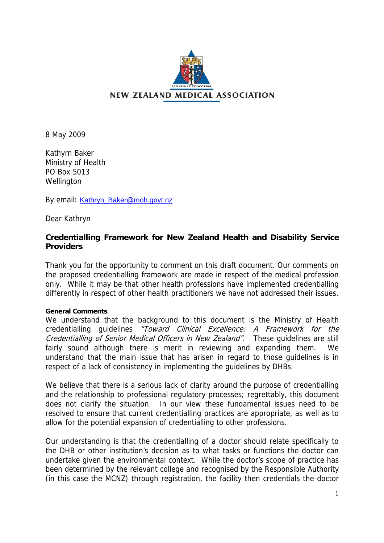

8 May 2009

Kathyrn Baker Ministry of Health PO Box 5013 **Wellington** 

By email: [Kathryn\\_Baker@moh.govt.nz](mailto:Kathryn_Baker@moh.govt.nz)

Dear Kathryn

# **Credentialling Framework for New Zealand Health and Disability Service Providers**

Thank you for the opportunity to comment on this draft document. Our comments on the proposed credentialling framework are made in respect of the medical profession only. While it may be that other health professions have implemented credentialling differently in respect of other health practitioners we have not addressed their issues.

# **General Comments**

We understand that the background to this document is the Ministry of Health credentialling guidelines "Toward Clinical Excellence: A Framework for the Credentialling of Senior Medical Officers in New Zealand". These guidelines are still fairly sound although there is merit in reviewing and expanding them. We understand that the main issue that has arisen in regard to those guidelines is in respect of a lack of consistency in implementing the guidelines by DHBs.

We believe that there is a serious lack of clarity around the purpose of credentialling and the relationship to professional regulatory processes; regrettably, this document does not clarify the situation. In our view these fundamental issues need to be resolved to ensure that current credentialling practices are appropriate, as well as to allow for the potential expansion of credentialling to other professions.

Our understanding is that the credentialling of a doctor should relate specifically to the DHB or other institution's decision as to what tasks or functions the doctor can undertake given the environmental context. While the doctor's scope of practice has been determined by the relevant college and recognised by the Responsible Authority (in this case the MCNZ) through registration, the facility then credentials the doctor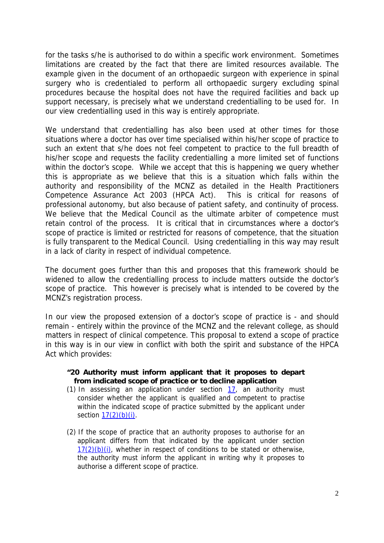for the tasks s/he is authorised to do within a specific work environment. Sometimes limitations are created by the fact that there are limited resources available. The example given in the document of an orthopaedic surgeon with experience in spinal surgery who is credentialed to perform all orthopaedic surgery excluding spinal procedures because the hospital does not have the required facilities and back up support necessary, is precisely what we understand credentialling to be used for. In our view credentialling used in this way is entirely appropriate.

We understand that credentialling has also been used at other times for those situations where a doctor has over time specialised within his/her scope of practice to such an extent that s/he does not feel competent to practice to the full breadth of his/her scope and requests the facility credentialling a more limited set of functions within the doctor's scope. While we accept that this is happening we query whether this is appropriate as we believe that this is a situation which falls within the authority and responsibility of the MCNZ as detailed in the Health Practitioners Competence Assurance Act 2003 (HPCA Act). This is critical for reasons of professional autonomy, but also because of patient safety, and continuity of process. We believe that the Medical Council as the ultimate arbiter of competence must retain control of the process. It is critical that in circumstances where a doctor's scope of practice is limited or restricted for reasons of competence, that the situation is fully transparent to the Medical Council. Using credentialling in this way may result in a lack of clarity in respect of individual competence.

The document goes further than this and proposes that this framework should be widened to allow the credentialling process to include matters outside the doctor's scope of practice. This however is precisely what is intended to be covered by the MCNZ's registration process.

In our view the proposed extension of a doctor's scope of practice is - and should remain - entirely within the province of the MCNZ and the relevant college, as should matters in respect of clinical competence. This proposal to extend a scope of practice in this way is in our view in conflict with both the spirit and substance of the HPCA Act which provides:

# **"20 Authority must inform applicant that it proposes to depart from indicated scope of practice or to decline application**

- (1) In assessing an application under section [17,](http://www.legislation.govt.nz/act/public/2003/0048/latest/link.aspx?search=sw_096be8ed80349ce1_credential&id=DLM203393#DLM203393) an authority must consider whether the applicant is qualified and competent to practise within the indicated scope of practice submitted by the applicant under section  $17(2)(b)(i)$ .
- (2) If the scope of practice that an authority proposes to authorise for an applicant differs from that indicated by the applicant under section  $17(2)(b)(i)$ , whether in respect of conditions to be stated or otherwise, the authority must inform the applicant in writing why it proposes to authorise a different scope of practice.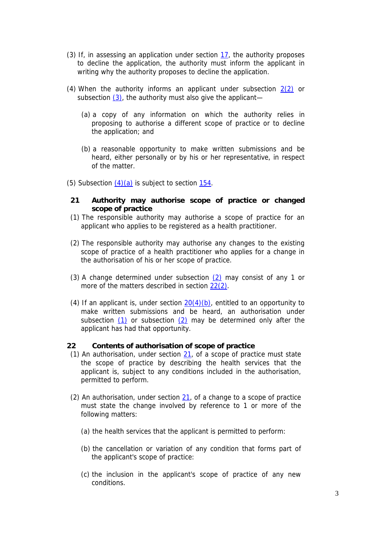- (3) If, in assessing an application under section [17,](http://www.legislation.govt.nz/act/public/2003/0048/latest/link.aspx?search=sw_096be8ed80349ce1_credential&id=DLM203393#DLM203393) the authority proposes to decline the application, the authority must inform the applicant in writing why the authority proposes to decline the application.
- (4) When the authority informs an applicant under subsection [2\(2\)](http://www.legislation.govt.nz/act/public/2003/0048/latest/link.aspx?search=sw_096be8ed80349ce1_credential&id=DLM203396#DLM203396) or subsection  $(3)$ , the authority must also give the applicant—
	- (a) a copy of any information on which the authority relies in proposing to authorise a different scope of practice or to decline the application; and
	- (b) a reasonable opportunity to make written submissions and be heard, either personally or by his or her representative, in respect of the matter.
- (5) Subsection  $(4)(a)$  is subject to section  $154$ .
- **21 Authority may authorise scope of practice or changed scope of practice**
- (1) The responsible authority may authorise a scope of practice for an applicant who applies to be registered as a health practitioner.
- (2) The responsible authority may authorise any changes to the existing scope of practice of a health practitioner who applies for a change in the authorisation of his or her scope of practice.
- (3) A change determined under subsection  $(2)$  may consist of any 1 or more of the matters described in section [22\(2\)](http://www.legislation.govt.nz/act/public/2003/0048/latest/link.aspx?search=sw_096be8ed80349ce1_credential&id=DLM203398#DLM203398).
- (4) If an applicant is, under section  $20(4)(b)$ , entitled to an opportunity to make written submissions and be heard, an authorisation under subsection [\(1\)](http://www.legislation.govt.nz/act/public/2003/0048/latest/link.aspx?search=sw_096be8ed80349ce1_credential&id=DLM203397#DLM203397) or subsection [\(2\)](http://www.legislation.govt.nz/act/public/2003/0048/latest/link.aspx?search=sw_096be8ed80349ce1_credential&id=DLM203397#DLM203397) may be determined only after the applicant has had that opportunity.

#### **22 Contents of authorisation of scope of practice**

- (1) An authorisation, under section [21,](http://www.legislation.govt.nz/act/public/2003/0048/latest/link.aspx?search=sw_096be8ed80349ce1_credential&id=DLM203397#DLM203397) of a scope of practice must state the scope of practice by describing the health services that the applicant is, subject to any conditions included in the authorisation, permitted to perform.
- (2) An authorisation, under section  $21$ , of a change to a scope of practice must state the change involved by reference to 1 or more of the following matters:
	- (a) the health services that the applicant is permitted to perform:
	- (b) the cancellation or variation of any condition that forms part of the applicant's scope of practice:
	- (c) the inclusion in the applicant's scope of practice of any new conditions.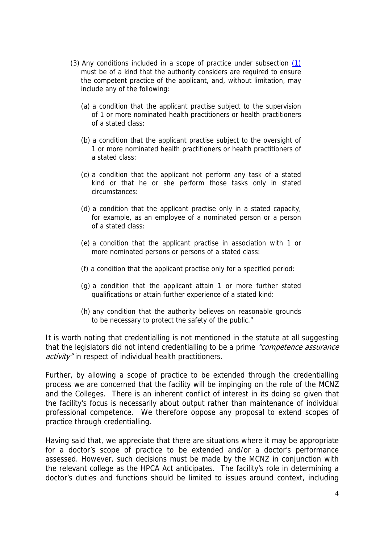- (3) Any conditions included in a scope of practice under subsection [\(1\)](http://www.legislation.govt.nz/act/public/2003/0048/latest/link.aspx?search=sw_096be8ed80349ce1_credential&id=DLM203398#DLM203398) must be of a kind that the authority considers are required to ensure the competent practice of the applicant, and, without limitation, may include any of the following:
	- (a) a condition that the applicant practise subject to the supervision of 1 or more nominated health practitioners or health practitioners of a stated class:
	- (b) a condition that the applicant practise subject to the oversight of 1 or more nominated health practitioners or health practitioners of a stated class:
	- (c) a condition that the applicant not perform any task of a stated kind or that he or she perform those tasks only in stated circumstances:
	- (d) a condition that the applicant practise only in a stated capacity, for example, as an employee of a nominated person or a person of a stated class:
	- (e) a condition that the applicant practise in association with 1 or more nominated persons or persons of a stated class:
	- (f) a condition that the applicant practise only for a specified period:
	- (g) a condition that the applicant attain 1 or more further stated qualifications or attain further experience of a stated kind:
	- (h) any condition that the authority believes on reasonable grounds to be necessary to protect the safety of the public."

It is worth noting that credentialling is not mentioned in the statute at all suggesting that the legislators did not intend credentialling to be a prime "competence assurance activity" in respect of individual health practitioners.

Further, by allowing a scope of practice to be extended through the credentialling process we are concerned that the facility will be impinging on the role of the MCNZ and the Colleges. There is an inherent conflict of interest in its doing so given that the facility's focus is necessarily about output rather than maintenance of individual professional competence. We therefore oppose any proposal to extend scopes of practice through credentialling.

Having said that, we appreciate that there are situations where it may be appropriate for a doctor's scope of practice to be extended and/or a doctor's performance assessed. However, such decisions must be made by the MCNZ in conjunction with the relevant college as the HPCA Act anticipates. The facility's role in determining a doctor's duties and functions should be limited to issues around context, including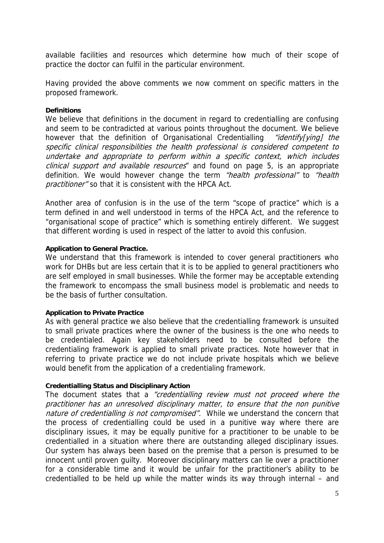available facilities and resources which determine how much of their scope of practice the doctor can fulfil in the particular environment.

Having provided the above comments we now comment on specific matters in the proposed framework.

# **Definitions**

We believe that definitions in the document in regard to credentialling are confusing and seem to be contradicted at various points throughout the document. We believe however that the definition of Organisational Credentialling "identify[ying] the specific clinical responsibilities the health professional is considered competent to undertake and appropriate to perform within a specific context, which includes clinical support and available resources" and found on page 5, is an appropriate definition. We would however change the term "health professional" to "health practitioner" so that it is consistent with the HPCA Act.

Another area of confusion is in the use of the term "scope of practice" which is a term defined in and well understood in terms of the HPCA Act, and the reference to "organisational scope of practice" which is something entirely different. We suggest that different wording is used in respect of the latter to avoid this confusion.

### **Application to General Practice.**

We understand that this framework is intended to cover general practitioners who work for DHBs but are less certain that it is to be applied to general practitioners who are self employed in small businesses. While the former may be acceptable extending the framework to encompass the small business model is problematic and needs to be the basis of further consultation.

# **Application to Private Practice**

As with general practice we also believe that the credentialling framework is unsuited to small private practices where the owner of the business is the one who needs to be credentialed. Again key stakeholders need to be consulted before the credentialing framework is applied to small private practices. Note however that in referring to private practice we do not include private hospitals which we believe would benefit from the application of a credentialing framework.

# **Credentialling Status and Disciplinary Action**

The document states that a "credentialling review must not proceed where the practitioner has an unresolved disciplinary matter, to ensure that the non punitive nature of credentialling is not compromised". While we understand the concern that the process of credentialling could be used in a punitive way where there are disciplinary issues, it may be equally punitive for a practitioner to be unable to be credentialled in a situation where there are outstanding alleged disciplinary issues. Our system has always been based on the premise that a person is presumed to be innocent until proven guilty. Moreover disciplinary matters can lie over a practitioner for a considerable time and it would be unfair for the practitioner's ability to be credentialled to be held up while the matter winds its way through internal – and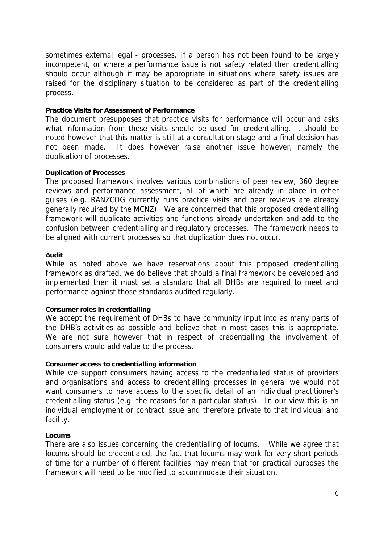sometimes external legal - processes. If a person has not been found to be largely incompetent, or where a performance issue is not safety related then credentialling should occur although it may be appropriate in situations where safety issues are raised for the disciplinary situation to be considered as part of the credentialling process.

### **Practice Visits for Assessment of Performance**

The document presupposes that practice visits for performance will occur and asks what information from these visits should be used for credentialling. It should be noted however that this matter is still at a consultation stage and a final decision has not been made. It does however raise another issue however, namely the duplication of processes.

#### **Duplication of Processes**

The proposed framework involves various combinations of peer review, 360 degree reviews and performance assessment, all of which are already in place in other guises (e.g. RANZCOG currently runs practice visits and peer reviews are already generally required by the MCNZ). We are concerned that this proposed credentialling framework will duplicate activities and functions already undertaken and add to the confusion between credentialling and regulatory processes. The framework needs to be aligned with current processes so that duplication does not occur.

### **Audit**

While as noted above we have reservations about this proposed credentialling framework as drafted, we do believe that should a final framework be developed and implemented then it must set a standard that all DHBs are required to meet and performance against those standards audited regularly.

#### **Consumer roles in credentialling**

We accept the requirement of DHBs to have community input into as many parts of the DHB's activities as possible and believe that in most cases this is appropriate. We are not sure however that in respect of credentialling the involvement of consumers would add value to the process.

### **Consumer access to credentialling information**

While we support consumers having access to the credentialled status of providers and organisations and access to credentialling processes in general we would not want consumers to have access to the specific detail of an individual practitioner's credentialling status (e.g. the reasons for a particular status). In our view this is an individual employment or contract issue and therefore private to that individual and facility.

### **Locums**

There are also issues concerning the credentialling of locums. While we agree that locums should be credentialed, the fact that locums may work for very short periods of time for a number of different facilities may mean that for practical purposes the framework will need to be modified to accommodate their situation.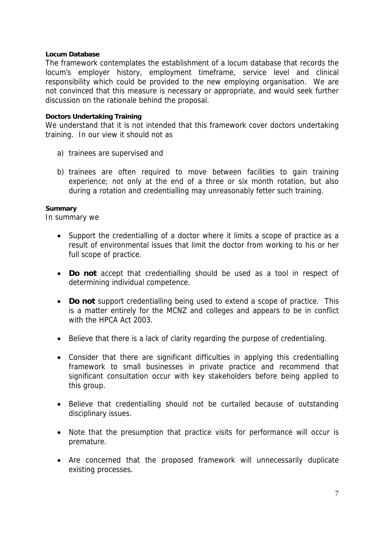# **Locum Database**

The framework contemplates the establishment of a locum database that records the locum's employer history, employment timeframe, service level and clinical responsibility which could be provided to the new employing organisation. We are not convinced that this measure is necessary or appropriate, and would seek further discussion on the rationale behind the proposal.

# **Doctors Undertaking Training**

We understand that it is not intended that this framework cover doctors undertaking training. In our view it should not as

- a) trainees are supervised and
- b) trainees are often required to move between facilities to gain training experience; not only at the end of a three or six month rotation, but also during a rotation and credentialling may unreasonably fetter such training.

# **Summary**

In summary we

- Support the credentialling of a doctor where it limits a scope of practice as a result of environmental issues that limit the doctor from working to his or her full scope of practice.
- **Do not** accept that credentialling should be used as a tool in respect of determining individual competence.
- **Do not** support credentialling being used to extend a scope of practice. This is a matter entirely for the MCNZ and colleges and appears to be in conflict with the HPCA Act 2003.
- Believe that there is a lack of clarity regarding the purpose of credentialing.
- Consider that there are significant difficulties in applying this credentialling framework to small businesses in private practice and recommend that significant consultation occur with key stakeholders before being applied to this group.
- Believe that credentialling should not be curtailed because of outstanding disciplinary issues.
- Note that the presumption that practice visits for performance will occur is premature.
- Are concerned that the proposed framework will unnecessarily duplicate existing processes.